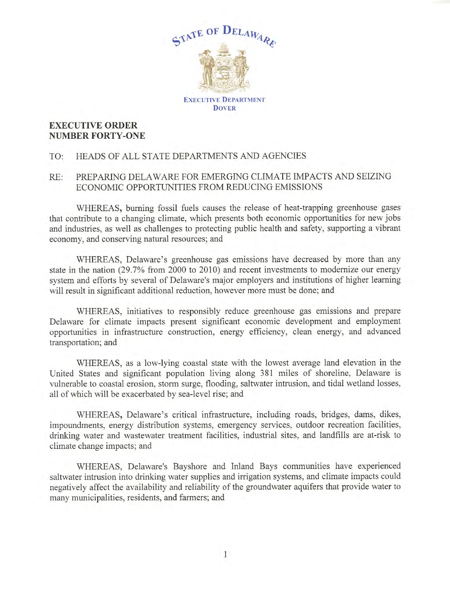

## **EXECUTIVE ORDER NUMBER FORTY-ONE**

## TO: HEADS OF ALL STATE DEPARTMENTS AND AGENCIES

## RE: PREPARING DELAWARE FOR EMERGING CLIMATE IMPACTS AND SEIZING ECONOMIC OPPORTUNITIES FROM REDUCING EMISSIONS

WHEREAS, burning fossil fuels causes the release of heat-trapping greenhouse gases that contribute to a changing climate, which presents both economic opportunities for new jobs and industries, as well as challenges to protecting public health and safety, supporting a vibrant economy, and conserving natural resources; and

WHEREAS, Delaware's greenhouse gas emissions have decreased by more than any state in the nation (29.7% from 2000 to 2010) and recent investments to modernize our energy system and efforts by several of Delaware's major employers and institutions of higher learning will result in significant additional reduction, however more must be done; and

WHEREAS, initiatives to responsibly reduce greenhouse gas emissions and prepare Delaware for climate impacts present significant economic development and employment opportunities in infrastructure construction, energy efficiency, clean energy, and advanced transportation; and

WHEREAS, as a low-lying coastal state with the lowest average land elevation in the United States and significant population living along 381 miles of shoreline, Delaware is vulnerable to coastal erosion, storm surge, flooding, saltwater intrusion, and tidal wetland losses, all of which will be exacerbated by sea-level rise; and

WHEREAS, Delaware's critical infrastructure, including roads, bridges, dams, dikes, impoundments, energy distribution systems, emergency services, outdoor recreation facilities, drinking water and wastewater treatment facilities, industrial sites, and landfills are at-risk to climate change impacts; and

WHEREAS, Delaware's Bayshore and Inland Bays communities have experienced saltwater intrusion into drinking water supplies and irrigation systems, and climate impacts could negatively affect the availability and reliability of the groundwater aquifers that provide water to many municipalities, residents, and farmers; and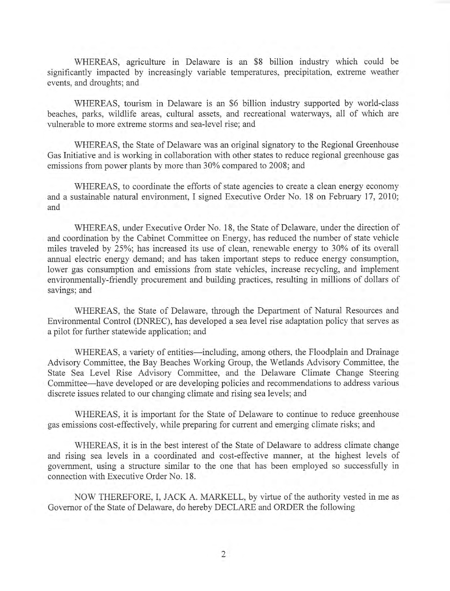WHEREAS, agriculture in Delaware is an \$8 billion industry which could be significantly impacted by increasingly variable temperatures, precipitation, extreme weather events, and droughts; and

WHEREAS, tourism in Delaware is an \$6 billion industry supported by world-class beaches, parks, wildlife areas, cultural assets, and recreational waterways, all of which are vulnerable to more extreme storms and sea-level rise; and

WHEREAS, the State of Delaware was an original signatory to the Regional Greenhouse Gas Initiative and is working in collaboration with other states to reduce regional greenhouse gas emissions from power plants by more than 30% compared to 2008; and

WHEREAS, to coordinate the efforts of state agencies to create a clean energy economy and a sustainable natural environment, I signed Executive Order No. 18 on February 17, 2010; and

WHEREAS, under Executive Order No. 18, the State of Delaware, under the direction of and coordination by the Cabinet Committee on Energy, has reduced the number of state vehicle miles traveled by 25%; has increased its use of clean, renewable energy to 30% of its overall annual electric energy demand; and has taken important steps to reduce energy consumption, lower gas consumption and emissions from state vehicles, increase recycling, and implement environmentally-friendly procurement and building practices, resulting in millions of dollars of savings; and

WHEREAS, the State of Delaware, through the Department of Natural Resources and Environmental Control (DNREC), has developed a sea level rise adaptation policy that serves as a pilot for further statewide application; and

WHEREAS, a variety of entities—including, among others, the Floodplain and Drainage Advisory Committee, the Bay Beaches Working Group, the Wetlands Advisory Committee, the State Sea Level Rise Advisory Committee, and the Delaware Climate Change Steering Committee-have developed or are developing policies and recommendations to address various discrete issues related to our changing climate and rising sea levels; and

WHEREAS, it is important for the State of Delaware to continue to reduce greenhouse gas emissions cost-effectively, while preparing for current and emerging climate risks; and

WHEREAS, it is in the best interest of the State of Delaware to address climate change and rising sea levels in a coordinated and cost-effective manner, at the highest levels of government, using a structure similar to the one that has been employed so successfully in connection with Executive Order No. 18.

NOW THEREFORE, I, JACK A. MARKELL, by virtue of the authority vested in me as Governor of the State of Delaware, do hereby DECLARE and ORDER the following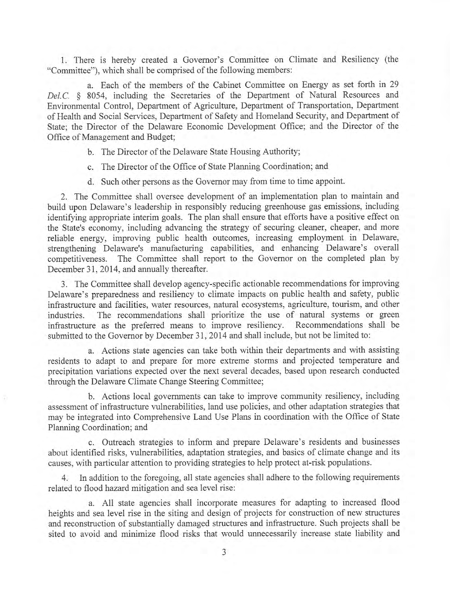1. There is hereby created a Governor's Committee on Climate and Resiliency (the "Committee"), which shall be comprised of the following members:

a. Each of the members of the Cabinet Committee on Energy as set forth in 29 *Del.C.* § 8054, including the Secretaries of the Department of Natural Resources and Environmental Control, Department of Agriculture, Department of Transportation, Department of Health and Social Services, Department of Safety and Homeland Security, and Department of State; the Director of the Delaware Economic Development Office; and the Director of the Office of Management and Budget;

- b. The Director of the Delaware State Housing Authority;
- c. The Director of the Office of State Planning Coordination; and
- d. Such other persons as the Governor may from time to time appoint.

2. The Committee shall oversee development of an implementation plan to maintain and build upon Delaware's leadership in responsibly reducing greenhouse gas emissions, including identifying appropriate interim goals. The plan shall ensure that efforts have a positive effect on the State's economy, including advancing the strategy of securing cleaner, cheaper, and more reliable energy, improving public health outcomes, increasing employment in Delaware, strengthening Delaware's manufacturing capabilities, and enhancing Delaware's overall competitiveness. The Committee shall report to the Governor on the completed plan by December 31, 2014, and annually thereafter.

3. The Committee shall develop agency-specific actionable recommendations for improving Delaware's preparedness and resiliency to climate impacts on public health and safety, public infrastructure and facilities, water resources, natural ecosystems, agriculture, tourism, and other industries. The recommendations shall prioritize the use of natural systems or green infrastructure as the preferred means to improve resiliency. Recommendations shall be submitted to the Governor by December 31, 2014 and shall include, but not be limited to:

a. Actions state agencies can take both within their departments and with assisting residents to adapt to and prepare for more extreme storms and projected temperature and precipitation variations expected over the next several decades, based upon research conducted through the Delaware Climate Change Steering Committee;

b. Actions local governments can take to improve community resiliency, including assessment of infrastructure vulnerabilities, land use policies, and other adaptation strategies that may be integrated into Comprehensive Land Use Plans in coordination with the Office of State Planning Coordination; and

c. Outreach strategies to inform and prepare Delaware's residents and businesses about identified risks, vulnerabilities, adaptation strategies, and basics of climate change and its causes, with particular attention to providing strategies to help protect at-risk populations.

4. In addition to the foregoing, all state agencies shall adhere to the following requirements related to flood hazard mitigation and sea level rise:

a. All state agencies shall incorporate measures for adapting to increased flood heights and sea level rise in the siting and design of projects for construction of new structures and reconstruction of substantially damaged structures and infrastructure. Such projects shall be sited to avoid and minimize flood risks that would unnecessarily increase state liability and